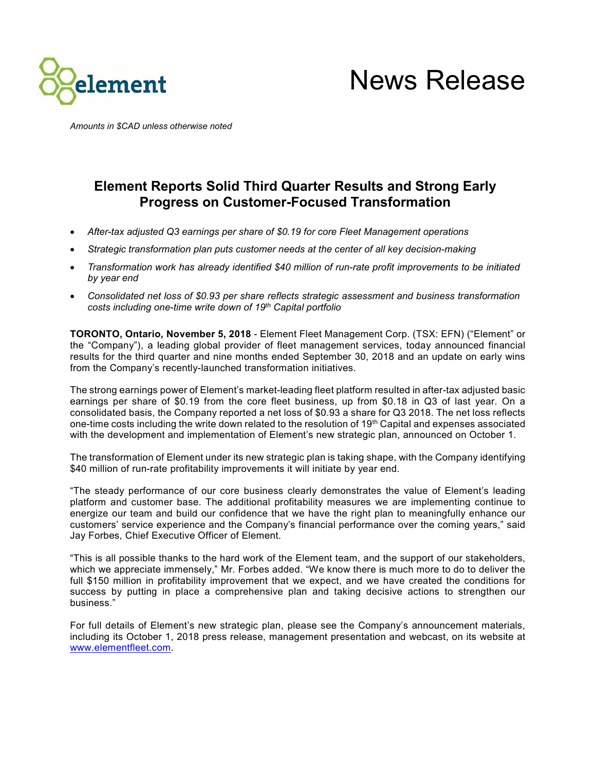

News Release

*Amounts in \$CAD unless otherwise noted*

# **Element Reports Solid Third Quarter Results and Strong Early Progress on Customer-Focused Transformation**

- *After-tax adjusted Q3 earnings per share of \$0.19 for core Fleet Management operations*
- *Strategic transformation plan puts customer needs at the center of all key decision-making*
- *Transformation work has already identified \$40 million of run-rate profit improvements to be initiated by year end*
- *Consolidated net loss of \$0.93 per share reflects strategic assessment and business transformation costs including one-time write down of 19th Capital portfolio*

**TORONTO, Ontario, November 5, 2018** - Element Fleet Management Corp. (TSX: EFN) ("Element" or the "Company"), a leading global provider of fleet management services, today announced financial results for the third quarter and nine months ended September 30, 2018 and an update on early wins from the Company's recently-launched transformation initiatives.

The strong earnings power of Element's market-leading fleet platform resulted in after-tax adjusted basic earnings per share of \$0.19 from the core fleet business, up from \$0.18 in Q3 of last year. On a consolidated basis, the Company reported a net loss of \$0.93 a share for Q3 2018. The net loss reflects one-time costs including the write down related to the resolution of 19th Capital and expenses associated with the development and implementation of Element's new strategic plan, announced on October 1.

The transformation of Element under its new strategic plan is taking shape, with the Company identifying \$40 million of run-rate profitability improvements it will initiate by year end.

"The steady performance of our core business clearly demonstrates the value of Element's leading platform and customer base. The additional profitability measures we are implementing continue to energize our team and build our confidence that we have the right plan to meaningfully enhance our customers' service experience and the Company's financial performance over the coming years," said Jay Forbes, Chief Executive Officer of Element.

"This is all possible thanks to the hard work of the Element team, and the support of our stakeholders, which we appreciate immensely," Mr. Forbes added. "We know there is much more to do to deliver the full \$150 million in profitability improvement that we expect, and we have created the conditions for success by putting in place a comprehensive plan and taking decisive actions to strengthen our business."

For full details of Element's new strategic plan, please see the Company's announcement materials, including its October 1, 2018 press release, management presentation and webcast, on its website at [www.elementfleet.com.](http://www.elementfleet.com/)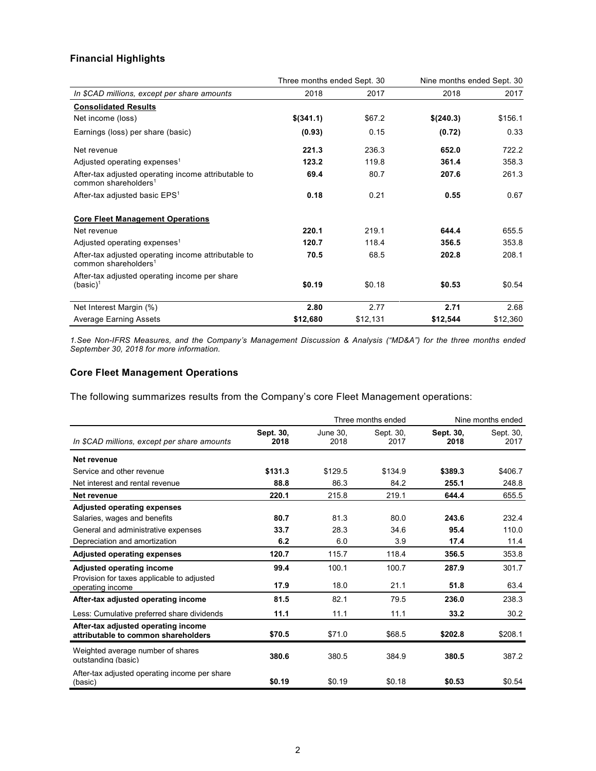# **Financial Highlights**

|                                                                                         | Three months ended Sept. 30 |          | Nine months ended Sept. 30 |          |
|-----------------------------------------------------------------------------------------|-----------------------------|----------|----------------------------|----------|
| In \$CAD millions, except per share amounts                                             | 2018                        | 2017     | 2018                       | 2017     |
| <b>Consolidated Results</b>                                                             |                             |          |                            |          |
| Net income (loss)                                                                       | \$ (341.1)                  | \$67.2   | \$(240.3)                  | \$156.1  |
| Earnings (loss) per share (basic)                                                       | (0.93)                      | 0.15     | (0.72)                     | 0.33     |
| Net revenue                                                                             | 221.3                       | 236.3    | 652.0                      | 722.2    |
| Adjusted operating expenses <sup>1</sup>                                                | 123.2                       | 119.8    | 361.4                      | 358.3    |
| After-tax adjusted operating income attributable to<br>common shareholders <sup>1</sup> | 69.4                        | 80.7     | 207.6                      | 261.3    |
| After-tax adjusted basic EPS <sup>1</sup>                                               | 0.18                        | 0.21     | 0.55                       | 0.67     |
| <b>Core Fleet Management Operations</b>                                                 |                             |          |                            |          |
| Net revenue                                                                             | 220.1                       | 219.1    | 644.4                      | 655.5    |
| Adjusted operating expenses <sup>1</sup>                                                | 120.7                       | 118.4    | 356.5                      | 353.8    |
| After-tax adjusted operating income attributable to<br>common shareholders <sup>1</sup> | 70.5                        | 68.5     | 202.8                      | 208.1    |
| After-tax adjusted operating income per share<br>$(basic)^1$                            | \$0.19                      | \$0.18   | \$0.53                     | \$0.54   |
| Net Interest Margin (%)                                                                 | 2.80                        | 2.77     | 2.71                       | 2.68     |
| <b>Average Earning Assets</b>                                                           | \$12,680                    | \$12,131 | \$12,544                   | \$12,360 |

*1.See Non-IFRS Measures, and the Company's Management Discussion & Analysis ("MD&A") for the three months ended September 30, 2018 for more information.* 

# **Core Fleet Management Operations**

The following summarizes results from the Company's core Fleet Management operations:

| In \$CAD millions, except per share amounts                                |                   | Three months ended |                   | Nine months ended |                   |
|----------------------------------------------------------------------------|-------------------|--------------------|-------------------|-------------------|-------------------|
|                                                                            | Sept. 30,<br>2018 | June 30.<br>2018   | Sept. 30,<br>2017 | Sept. 30,<br>2018 | Sept. 30,<br>2017 |
| Net revenue                                                                |                   |                    |                   |                   |                   |
| Service and other revenue                                                  | \$131.3           | \$129.5            | \$134.9           | \$389.3           | \$406.7           |
| Net interest and rental revenue                                            | 88.8              | 86.3               | 84.2              | 255.1             | 248.8             |
| Net revenue                                                                | 220.1             | 215.8              | 219.1             | 644.4             | 655.5             |
| <b>Adjusted operating expenses</b>                                         |                   |                    |                   |                   |                   |
| Salaries, wages and benefits                                               | 80.7              | 81.3               | 80.0              | 243.6             | 232.4             |
| General and administrative expenses                                        | 33.7              | 28.3               | 34.6              | 95.4              | 110.0             |
| Depreciation and amortization                                              | 6.2               | 6.0                | 3.9               | 17.4              | 11.4              |
| <b>Adjusted operating expenses</b>                                         | 120.7             | 115.7              | 118.4             | 356.5             | 353.8             |
| Adjusted operating income                                                  | 99.4              | 100.1              | 100.7             | 287.9             | 301.7             |
| Provision for taxes applicable to adjusted<br>operating income             | 17.9              | 18.0               | 21.1              | 51.8              | 63.4              |
| After-tax adjusted operating income                                        | 81.5              | 82.1               | 79.5              | 236.0             | 238.3             |
| Less: Cumulative preferred share dividends                                 | 11.1              | 11.1               | 11.1              | 33.2              | 30.2              |
| After-tax adjusted operating income<br>attributable to common shareholders | \$70.5            | \$71.0             | \$68.5            | \$202.8           | \$208.1           |
| Weighted average number of shares<br>outstanding (basic)                   | 380.6             | 380.5              | 384.9             | 380.5             | 387.2             |
| After-tax adjusted operating income per share<br>(basic)                   | \$0.19            | \$0.19             | \$0.18            | \$0.53            | \$0.54            |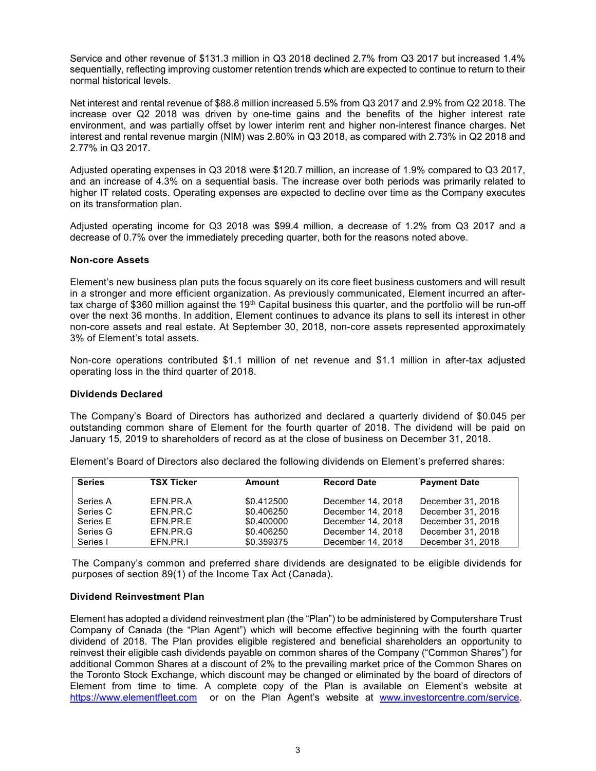Service and other revenue of \$131.3 million in Q3 2018 declined 2.7% from Q3 2017 but increased 1.4% sequentially, reflecting improving customer retention trends which are expected to continue to return to their normal historical levels.

Net interest and rental revenue of \$88.8 million increased 5.5% from Q3 2017 and 2.9% from Q2 2018. The increase over Q2 2018 was driven by one-time gains and the benefits of the higher interest rate environment, and was partially offset by lower interim rent and higher non-interest finance charges. Net interest and rental revenue margin (NIM) was 2.80% in Q3 2018, as compared with 2.73% in Q2 2018 and 2.77% in Q3 2017.

Adjusted operating expenses in Q3 2018 were \$120.7 million, an increase of 1.9% compared to Q3 2017, and an increase of 4.3% on a sequential basis. The increase over both periods was primarily related to higher IT related costs. Operating expenses are expected to decline over time as the Company executes on its transformation plan.

Adjusted operating income for Q3 2018 was \$99.4 million, a decrease of 1.2% from Q3 2017 and a decrease of 0.7% over the immediately preceding quarter, both for the reasons noted above.

# **Non-core Assets**

Element's new business plan puts the focus squarely on its core fleet business customers and will result in a stronger and more efficient organization. As previously communicated, Element incurred an aftertax charge of \$360 million against the 19<sup>th</sup> Capital business this quarter, and the portfolio will be run-off over the next 36 months. In addition, Element continues to advance its plans to sell its interest in other non-core assets and real estate. At September 30, 2018, non-core assets represented approximately 3% of Element's total assets.

Non-core operations contributed \$1.1 million of net revenue and \$1.1 million in after-tax adjusted operating loss in the third quarter of 2018.

# **Dividends Declared**

The Company's Board of Directors has authorized and declared a quarterly dividend of \$0.045 per outstanding common share of Element for the fourth quarter of 2018. The dividend will be paid on January 15, 2019 to shareholders of record as at the close of business on December 31, 2018.

Element's Board of Directors also declared the following dividends on Element's preferred shares:

| <b>Series</b> | <b>TSX Ticker</b> | Amount     | <b>Record Date</b> | <b>Payment Date</b> |
|---------------|-------------------|------------|--------------------|---------------------|
| Series A      | EFN.PR.A          | \$0.412500 | December 14, 2018  | December 31, 2018   |
| Series C      | EFN.PR.C          | \$0.406250 | December 14, 2018  | December 31, 2018   |
| Series E      | EFN.PR.E          | \$0.400000 | December 14, 2018  | December 31, 2018   |
| Series G      | EFN.PR.G          | \$0.406250 | December 14, 2018  | December 31, 2018   |
| Series I      | EFN.PR.I          | \$0.359375 | December 14, 2018  | December 31, 2018   |

The Company's common and preferred share dividends are designated to be eligible dividends for purposes of section 89(1) of the Income Tax Act (Canada).

# **Dividend Reinvestment Plan**

Element has adopted a dividend reinvestment plan (the "Plan") to be administered by Computershare Trust Company of Canada (the "Plan Agent") which will become effective beginning with the fourth quarter dividend of 2018. The Plan provides eligible registered and beneficial shareholders an opportunity to reinvest their eligible cash dividends payable on common shares of the Company ("Common Shares") for additional Common Shares at a discount of 2% to the prevailing market price of the Common Shares on the Toronto Stock Exchange, which discount may be changed or eliminated by the board of directors of Element from time to time. A complete copy of the Plan is available on Element's website at [https://www.elementfleet.com](https://www.elementfleet.com/) or on the Plan Agent's website at [www.investorcentre.com/service.](http://www.investorcentre.com/service)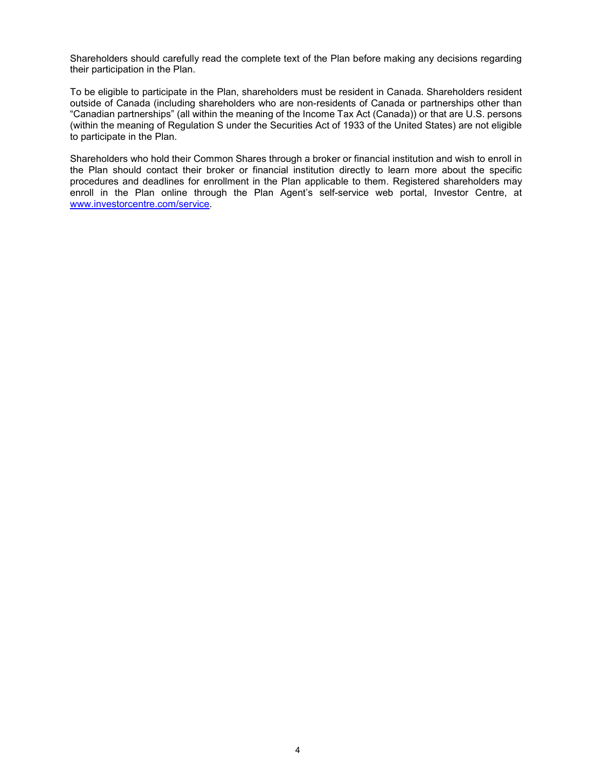Shareholders should carefully read the complete text of the Plan before making any decisions regarding their participation in the Plan.

To be eligible to participate in the Plan, shareholders must be resident in Canada. Shareholders resident outside of Canada (including shareholders who are non-residents of Canada or partnerships other than "Canadian partnerships" (all within the meaning of the Income Tax Act (Canada)) or that are U.S. persons (within the meaning of Regulation S under the Securities Act of 1933 of the United States) are not eligible to participate in the Plan.

Shareholders who hold their Common Shares through a broker or financial institution and wish to enroll in the Plan should contact their broker or financial institution directly to learn more about the specific procedures and deadlines for enrollment in the Plan applicable to them. Registered shareholders may enroll in the Plan online through the Plan Agent's self-service web portal, Investor Centre, at [www.investorcentre.com/service.](http://www.investorcentre.com/service)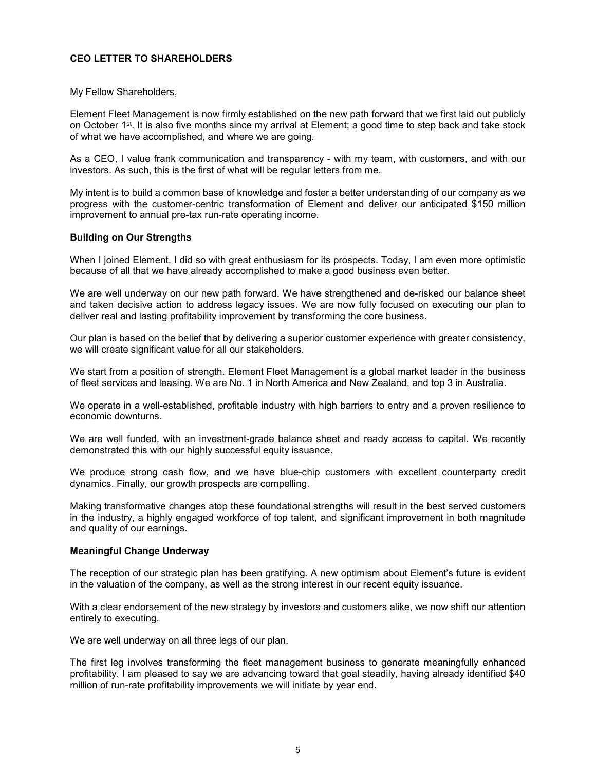# **CEO LETTER TO SHAREHOLDERS**

My Fellow Shareholders,

Element Fleet Management is now firmly established on the new path forward that we first laid out publicly on October 1st. It is also five months since my arrival at Element; a good time to step back and take stock of what we have accomplished, and where we are going.

As a CEO, I value frank communication and transparency - with my team, with customers, and with our investors. As such, this is the first of what will be regular letters from me.

My intent is to build a common base of knowledge and foster a better understanding of our company as we progress with the customer-centric transformation of Element and deliver our anticipated \$150 million improvement to annual pre-tax run-rate operating income.

#### **Building on Our Strengths**

When I joined Element, I did so with great enthusiasm for its prospects. Today, I am even more optimistic because of all that we have already accomplished to make a good business even better.

We are well underway on our new path forward. We have strengthened and de-risked our balance sheet and taken decisive action to address legacy issues. We are now fully focused on executing our plan to deliver real and lasting profitability improvement by transforming the core business.

Our plan is based on the belief that by delivering a superior customer experience with greater consistency, we will create significant value for all our stakeholders.

We start from a position of strength. Element Fleet Management is a global market leader in the business of fleet services and leasing. We are No. 1 in North America and New Zealand, and top 3 in Australia.

We operate in a well-established, profitable industry with high barriers to entry and a proven resilience to economic downturns.

We are well funded, with an investment-grade balance sheet and ready access to capital. We recently demonstrated this with our highly successful equity issuance.

We produce strong cash flow, and we have blue-chip customers with excellent counterparty credit dynamics. Finally, our growth prospects are compelling.

Making transformative changes atop these foundational strengths will result in the best served customers in the industry, a highly engaged workforce of top talent, and significant improvement in both magnitude and quality of our earnings.

#### **Meaningful Change Underway**

The reception of our strategic plan has been gratifying. A new optimism about Element's future is evident in the valuation of the company, as well as the strong interest in our recent equity issuance.

With a clear endorsement of the new strategy by investors and customers alike, we now shift our attention entirely to executing.

We are well underway on all three legs of our plan.

The first leg involves transforming the fleet management business to generate meaningfully enhanced profitability. I am pleased to say we are advancing toward that goal steadily, having already identified \$40 million of run-rate profitability improvements we will initiate by year end.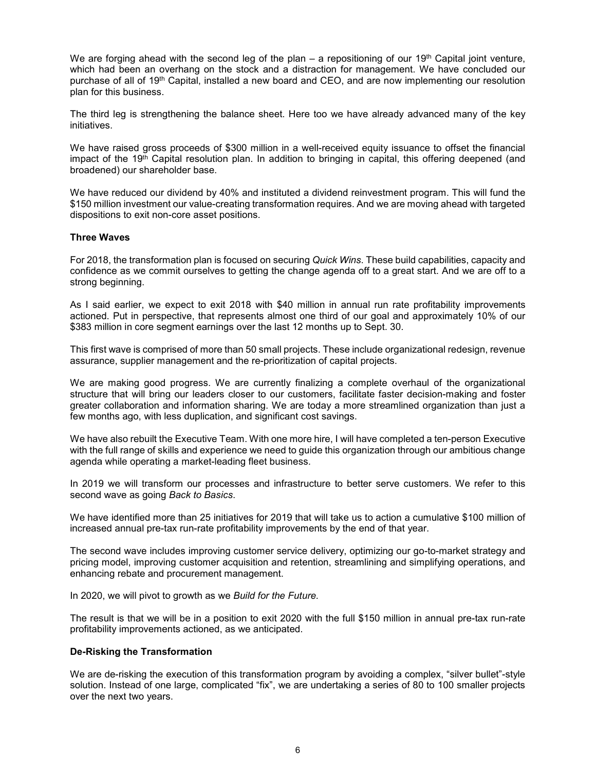We are forging ahead with the second leg of the plan  $-$  a repositioning of our 19<sup>th</sup> Capital joint venture, which had been an overhang on the stock and a distraction for management. We have concluded our purchase of all of 19th Capital, installed a new board and CEO, and are now implementing our resolution plan for this business.

The third leg is strengthening the balance sheet. Here too we have already advanced many of the key initiatives.

We have raised gross proceeds of \$300 million in a well-received equity issuance to offset the financial impact of the 19<sup>th</sup> Capital resolution plan. In addition to bringing in capital, this offering deepened (and broadened) our shareholder base.

We have reduced our dividend by 40% and instituted a dividend reinvestment program. This will fund the \$150 million investment our value-creating transformation requires. And we are moving ahead with targeted dispositions to exit non-core asset positions.

# **Three Waves**

For 2018, the transformation plan is focused on securing *Quick Wins*. These build capabilities, capacity and confidence as we commit ourselves to getting the change agenda off to a great start. And we are off to a strong beginning.

As I said earlier, we expect to exit 2018 with \$40 million in annual run rate profitability improvements actioned. Put in perspective, that represents almost one third of our goal and approximately 10% of our \$383 million in core segment earnings over the last 12 months up to Sept. 30.

This first wave is comprised of more than 50 small projects. These include organizational redesign, revenue assurance, supplier management and the re-prioritization of capital projects.

We are making good progress. We are currently finalizing a complete overhaul of the organizational structure that will bring our leaders closer to our customers, facilitate faster decision-making and foster greater collaboration and information sharing. We are today a more streamlined organization than just a few months ago, with less duplication, and significant cost savings.

We have also rebuilt the Executive Team. With one more hire, I will have completed a ten-person Executive with the full range of skills and experience we need to guide this organization through our ambitious change agenda while operating a market-leading fleet business.

In 2019 we will transform our processes and infrastructure to better serve customers. We refer to this second wave as going *Back to Basics*.

We have identified more than 25 initiatives for 2019 that will take us to action a cumulative \$100 million of increased annual pre-tax run-rate profitability improvements by the end of that year.

The second wave includes improving customer service delivery, optimizing our go-to-market strategy and pricing model, improving customer acquisition and retention, streamlining and simplifying operations, and enhancing rebate and procurement management.

In 2020, we will pivot to growth as we *Build for the Future.*

The result is that we will be in a position to exit 2020 with the full \$150 million in annual pre-tax run-rate profitability improvements actioned, as we anticipated.

# **De-Risking the Transformation**

We are de-risking the execution of this transformation program by avoiding a complex, "silver bullet"-style solution. Instead of one large, complicated "fix", we are undertaking a series of 80 to 100 smaller projects over the next two years.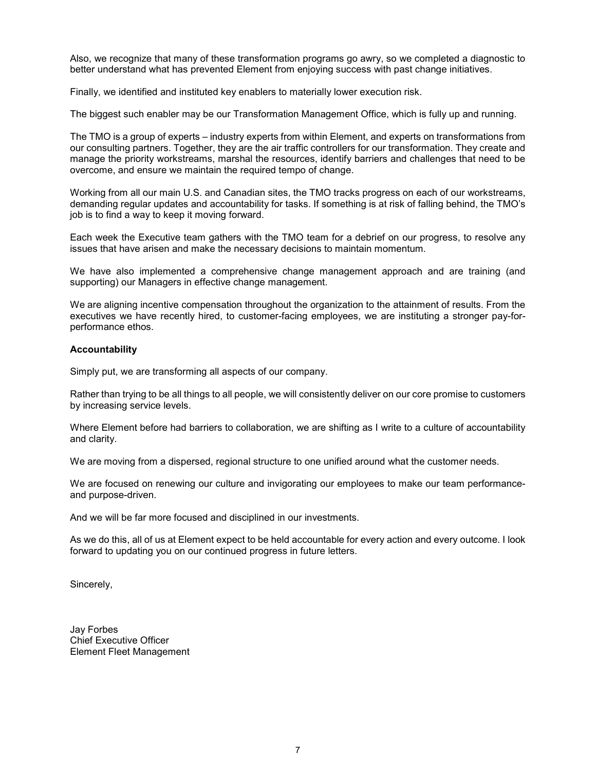Also, we recognize that many of these transformation programs go awry, so we completed a diagnostic to better understand what has prevented Element from enjoying success with past change initiatives.

Finally, we identified and instituted key enablers to materially lower execution risk.

The biggest such enabler may be our Transformation Management Office, which is fully up and running.

The TMO is a group of experts – industry experts from within Element, and experts on transformations from our consulting partners. Together, they are the air traffic controllers for our transformation. They create and manage the priority workstreams, marshal the resources, identify barriers and challenges that need to be overcome, and ensure we maintain the required tempo of change.

Working from all our main U.S. and Canadian sites, the TMO tracks progress on each of our workstreams, demanding regular updates and accountability for tasks. If something is at risk of falling behind, the TMO's job is to find a way to keep it moving forward.

Each week the Executive team gathers with the TMO team for a debrief on our progress, to resolve any issues that have arisen and make the necessary decisions to maintain momentum.

We have also implemented a comprehensive change management approach and are training (and supporting) our Managers in effective change management.

We are aligning incentive compensation throughout the organization to the attainment of results. From the executives we have recently hired, to customer-facing employees, we are instituting a stronger pay-forperformance ethos.

#### **Accountability**

Simply put, we are transforming all aspects of our company.

Rather than trying to be all things to all people, we will consistently deliver on our core promise to customers by increasing service levels.

Where Element before had barriers to collaboration, we are shifting as I write to a culture of accountability and clarity.

We are moving from a dispersed, regional structure to one unified around what the customer needs.

We are focused on renewing our culture and invigorating our employees to make our team performanceand purpose-driven.

And we will be far more focused and disciplined in our investments.

As we do this, all of us at Element expect to be held accountable for every action and every outcome. I look forward to updating you on our continued progress in future letters.

Sincerely,

Jay Forbes Chief Executive Officer Element Fleet Management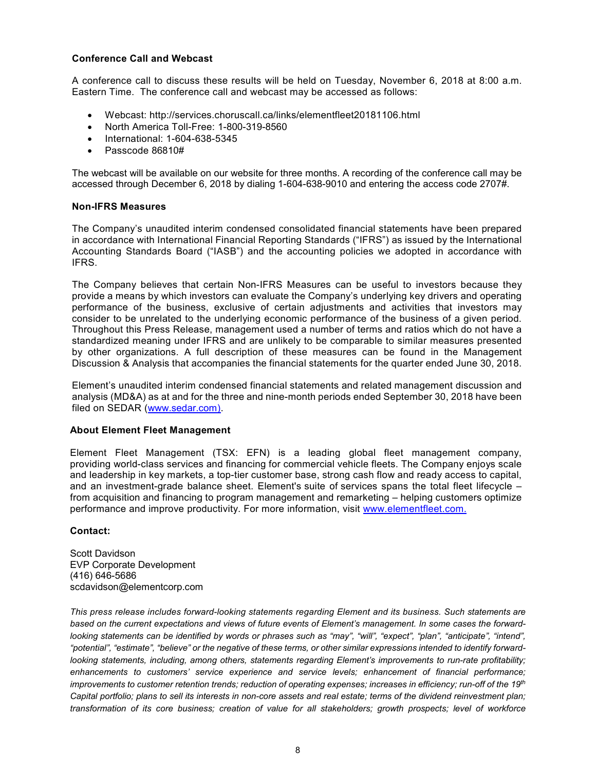# **Conference Call and Webcast**

A conference call to discuss these results will be held on Tuesday, November 6, 2018 at 8:00 a.m. Eastern Time. The conference call and webcast may be accessed as follows:

- Webcast: http://services.choruscall.ca/links/elementfleet20181106.html
- North America Toll-Free: 1-800-319-8560
- International: 1-604-638-5345
- Passcode 86810#

The webcast will be available on our website for three months. A recording of the conference call may be accessed through December 6, 2018 by dialing 1-604-638-9010 and entering the access code 2707#.

# **Non-IFRS Measures**

The Company's unaudited interim condensed consolidated financial statements have been prepared in accordance with International Financial Reporting Standards ("IFRS") as issued by the International Accounting Standards Board ("IASB") and the accounting policies we adopted in accordance with IFRS.

The Company believes that certain Non-IFRS Measures can be useful to investors because they provide a means by which investors can evaluate the Company's underlying key drivers and operating performance of the business, exclusive of certain adjustments and activities that investors may consider to be unrelated to the underlying economic performance of the business of a given period. Throughout this Press Release, management used a number of terms and ratios which do not have a standardized meaning under IFRS and are unlikely to be comparable to similar measures presented by other organizations. A full description of these measures can be found in the Management Discussion & Analysis that accompanies the financial statements for the quarter ended June 30, 2018.

Element's unaudited interim condensed financial statements and related management discussion and analysis (MD&A) as at and for the three and nine-month periods ended September 30, 2018 have been filed on SEDAR [\(www.sedar.com\).](http://www.sedar.com)/)

# **About Element Fleet Management**

Element Fleet Management (TSX: EFN) is a leading global fleet management company, providing world-class services and financing for commercial vehicle fleets. The Company enjoys scale and leadership in key markets, a top-tier customer base, strong cash flow and ready access to capital, and an investment-grade balance sheet. Element's suite of services spans the total fleet lifecycle – from acquisition and financing to program management and remarketing – helping customers optimize performance and improve productivity. For more information, visit www.elementfleet.com.

# **Contact:**

Scott Davidson EVP Corporate Development (416) 646-5686 scdavidson@elementcorp.com

*This press release includes forward-looking statements regarding Element and its business. Such statements are based on the current expectations and views of future events of Element's management. In some cases the forwardlooking statements can be identified by words or phrases such as "may", "will", "expect", "plan", "anticipate", "intend", "potential", "estimate", "believe" or the negative of these terms, or other similar expressions intended to identify forwardlooking statements, including, among others, statements regarding Element's improvements to run-rate profitability; enhancements to customers' service experience and service levels; enhancement of financial performance; improvements to customer retention trends; reduction of operating expenses; increases in efficiency; run-off of the 19th Capital portfolio; plans to sell its interests in non-core assets and real estate; terms of the dividend reinvestment plan; transformation of its core business; creation of value for all stakeholders; growth prospects; level of workforce*